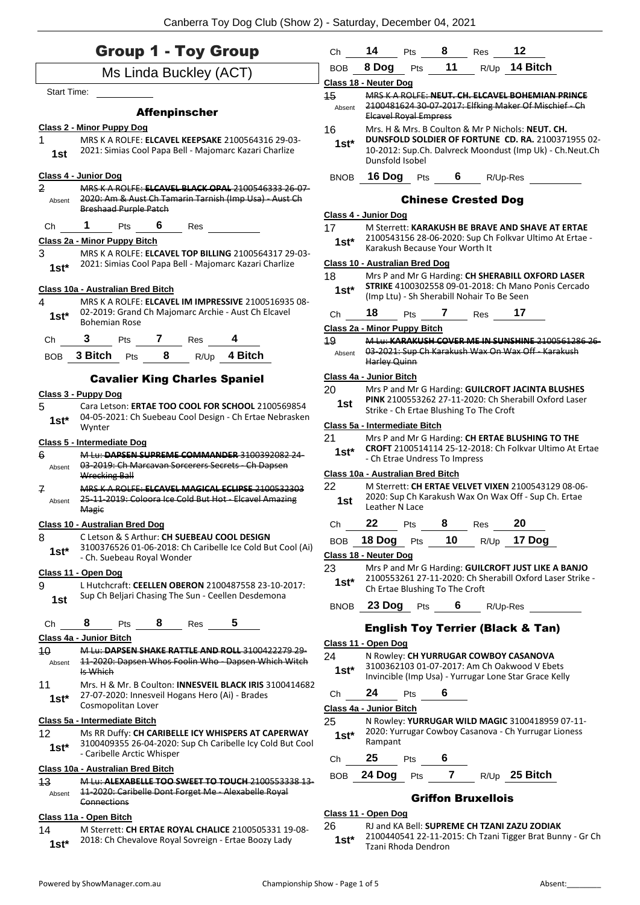|               | <b>Group 1 - Toy Group</b>                                                                                         | Ch           | 14                                | <b>Pts</b>                     | $8^{\circ}$ | Res                                        | 12                                                                                                         |
|---------------|--------------------------------------------------------------------------------------------------------------------|--------------|-----------------------------------|--------------------------------|-------------|--------------------------------------------|------------------------------------------------------------------------------------------------------------|
|               | Ms Linda Buckley (ACT)                                                                                             | <b>BOB</b>   | 8 Dog                             | Pts                            | 11          |                                            | R/Up 14 Bitch                                                                                              |
| Start Time:   |                                                                                                                    |              | <b>Class 18 - Neuter Dog</b>      |                                |             |                                            |                                                                                                            |
|               |                                                                                                                    | 15<br>Absent |                                   |                                |             |                                            | MRS K A ROLFE: NEUT, CH. ELCAVEL BOHEMIAN PRINCE<br>2100481624 30 07 2017: Elfking Maker Of Mischief Ch    |
|               | <b>Affenpinscher</b>                                                                                               |              |                                   | <b>Elcavel Royal Empress</b>   |             |                                            |                                                                                                            |
|               | <b>Class 2 - Minor Puppy Dog</b><br>MRS K A ROLFE: ELCAVEL KEEPSAKE 2100564316 29-03-                              | 16           |                                   |                                |             |                                            | Mrs. H & Mrs. B Coulton & Mr P Nichols: NEUT. CH.<br>DUNSFOLD SOLDIER OF FORTUNE CD. RA. 2100371955 02-    |
| 1st           | 2021: Simias Cool Papa Bell - Majomarc Kazari Charlize                                                             | $1st*$       | Dunsfold Isobel                   |                                |             |                                            | 10-2012: Sup.Ch. Dalvreck Moondust (Imp Uk) - Ch. Neut.Ch                                                  |
|               | Class 4 - Junior Dog                                                                                               | <b>BNOB</b>  |                                   |                                |             | <b>16 Dog</b> Pts 6 R/Up-Res               |                                                                                                            |
| 2<br>Absent   | MRS K A ROLFE: ELCAVEL BLACK OPAL 2100546333 26-07-<br>2020: Am & Aust Ch Tamarin Tarnish (Imp Usa) - Aust Ch      |              |                                   |                                |             | <b>Chinese Crested Dog</b>                 |                                                                                                            |
|               | <b>Breshaad Purple Patch</b>                                                                                       |              | Class 4 - Junior Dog              |                                |             |                                            |                                                                                                            |
| Ch            | $1$ Pts<br>$6\overline{6}$<br>Res                                                                                  | 17           |                                   |                                |             |                                            | M Sterrett: KARAKUSH BE BRAVE AND SHAVE AT ERTAE                                                           |
|               | Class 2a - Minor Puppy Bitch                                                                                       | $1st*$       |                                   | Karakush Because Your Worth It |             |                                            | 2100543156 28-06-2020: Sup Ch Folkvar Ultimo At Ertae -                                                    |
| 3             | MRS K A ROLFE: ELCAVEL TOP BILLING 2100564317 29-03-                                                               |              |                                   |                                |             |                                            |                                                                                                            |
| $1st*$        | 2021: Simias Cool Papa Bell - Majomarc Kazari Charlize                                                             | 18           | Class 10 - Australian Bred Dog    |                                |             |                                            | Mrs P and Mr G Harding: CH SHERABILL OXFORD LASER                                                          |
|               | Class 10a - Australian Bred Bitch                                                                                  | $1st^*$      |                                   |                                |             |                                            | STRIKE 4100302558 09-01-2018: Ch Mano Ponis Cercado                                                        |
| 4             | MRS K A ROLFE: ELCAVEL IM IMPRESSIVE 2100516935 08-                                                                |              |                                   |                                |             | (Imp Ltu) - Sh Sherabill Nohair To Be Seen |                                                                                                            |
| $1st^*$       | 02-2019: Grand Ch Majomarc Archie - Aust Ch Elcavel                                                                | Ch           |                                   |                                |             | 18 Pts 7 Res 17                            |                                                                                                            |
|               | <b>Bohemian Rose</b>                                                                                               |              | Class 2a - Minor Puppy Bitch      |                                |             |                                            |                                                                                                            |
| Ch            | 3 Pts 7 Res                                                                                                        | 49           |                                   |                                |             |                                            | M Lu: KARAKUSH COVER ME IN SUNSHINE 2100561286 26<br>03-2021: Sup Ch Karakush Wax On Wax Off - Karakush    |
|               | BOB 3 Bitch Pts 8 R/Up 4 Bitch                                                                                     | Absent       | Harley Quinn                      |                                |             |                                            |                                                                                                            |
|               | <b>Cavalier King Charles Spaniel</b>                                                                               |              | Class 4a - Junior Bitch           |                                |             |                                            |                                                                                                            |
|               | Class 3 - Puppy Dog                                                                                                | 20           |                                   |                                |             |                                            | Mrs P and Mr G Harding: GUILCROFT JACINTA BLUSHES<br>PINK 2100553262 27-11-2020: Ch Sherabill Oxford Laser |
| 5.            | Cara Letson: ERTAE TOO COOL FOR SCHOOL 2100569854                                                                  | 1st          |                                   |                                |             | Strike - Ch Ertae Blushing To The Croft    |                                                                                                            |
| $1st^*$       | 04-05-2021: Ch Suebeau Cool Design - Ch Ertae Nebrasken<br>Wynter                                                  |              | Class 5a - Intermediate Bitch     |                                |             |                                            |                                                                                                            |
|               | <b>Class 5 - Intermediate Dog</b>                                                                                  | 21           |                                   |                                |             |                                            | Mrs P and Mr G Harding: CH ERTAE BLUSHING TO THE                                                           |
| 6             | M Lu: DAPSEN SUPREME COMMANDER 3100392082 24-                                                                      | $1st*$       |                                   |                                |             |                                            | CROFT 2100514114 25-12-2018: Ch Folkvar Ultimo At Ertae                                                    |
| Absent        | 03 2019: Ch Marcavan Sorcerers Secrets Ch Dapsen                                                                   |              | Class 10a - Australian Bred Bitch | - Ch Etrae Undress To Impress  |             |                                            |                                                                                                            |
|               | Wrecking Ball                                                                                                      | 22           |                                   |                                |             |                                            | M Sterrett: CH ERTAE VELVET VIXEN 2100543129 08-06-                                                        |
| 7<br>Absent   | MRS K A ROLFE: ELCAVEL MAGICAL ECLIPSE 2100532303<br>25 11 2019: Coloora Ice Cold But Hot Elcavel Amazing<br>Magic | 1st          | Leather N Lace                    |                                |             |                                            | 2020: Sup Ch Karakush Wax On Wax Off - Sup Ch. Ertae                                                       |
|               | Class 10 - Australian Bred Dog                                                                                     | Ch           | 22                                | Pts                            | 8           | Res                                        | 20                                                                                                         |
| 8<br>$1st*$   | C Letson & S Arthur: CH SUEBEAU COOL DESIGN<br>3100376526 01-06-2018: Ch Caribelle Ice Cold But Cool (Ai)          | <b>BOB</b>   | 18 Dog<br>Class 18 - Neuter Dog   | Pts                            | 10          | R/Up                                       | 17 Dog                                                                                                     |
|               | - Ch. Suebeau Royal Wonder                                                                                         | 23           |                                   |                                |             |                                            | Mrs P and Mr G Harding: GUILCROFT JUST LIKE A BANJO                                                        |
| 9             | Class 11 - Open Dog<br>L Hutchcraft: CEELLEN OBERON 2100487558 23-10-2017:                                         | $1st*$       |                                   |                                |             |                                            | 2100553261 27-11-2020: Ch Sherabill Oxford Laser Strike -                                                  |
| 1st           | Sup Ch Beljari Chasing The Sun - Ceellen Desdemona                                                                 |              |                                   | Ch Ertae Blushing To The Croft |             |                                            |                                                                                                            |
| Ch            | 8<br>8<br>Pts<br>Res                                                                                               | <b>BNOB</b>  |                                   | 23 Dog Pts                     | 6           |                                            | R/Up-Res                                                                                                   |
|               | Class 4a - Junior Bitch                                                                                            |              |                                   |                                |             |                                            | <b>English Toy Terrier (Black &amp; Tan)</b>                                                               |
| $40^{\circ}$  | M Lu: DAPSEN SHAKE RATTLE AND ROLL 3100422279 29-                                                                  | 24           | Class 11 - Open Dog               |                                |             |                                            | N Rowley: CH YURRUGAR COWBOY CASANOVA                                                                      |
| Absent        | 11 2020: Dapsen Whos Foolin Who Dapsen Which Witch                                                                 | $1st^*$      |                                   |                                |             |                                            | 3100362103 01-07-2017: Am Ch Oakwood V Ebets                                                               |
| 11            | Is Which<br>Mrs. H & Mr. B Coulton: <b>INNESVEIL BLACK IRIS</b> 3100414682                                         |              |                                   |                                |             |                                            | Invincible (Imp Usa) - Yurrugar Lone Star Grace Kelly                                                      |
| $1st^*$       | 27-07-2020: Innesveil Hogans Hero (Ai) - Brades                                                                    | Ch           | 24                                | Pts                            | 6           |                                            |                                                                                                            |
|               | Cosmopolitan Lover                                                                                                 |              | Class 4a - Junior Bitch           |                                |             |                                            |                                                                                                            |
|               | Class 5a - Intermediate Bitch                                                                                      | 25           |                                   |                                |             |                                            | N Rowley: YURRUGAR WILD MAGIC 3100418959 07-11-                                                            |
| 12<br>$1st^*$ | Ms RR Duffy: CH CARIBELLE ICY WHISPERS AT CAPERWAY<br>3100409355 26-04-2020: Sup Ch Caribelle Icy Cold But Cool    | $1st^*$      | Rampant                           |                                |             |                                            | 2020: Yurrugar Cowboy Casanova - Ch Yurrugar Lioness                                                       |
|               | - Caribelle Arctic Whisper                                                                                         | Ch           | 25                                | Pts                            | 6           |                                            |                                                                                                            |
| 43            | Class 10a - Australian Bred Bitch<br>M Lu: ALEXABELLE TOO SWEET TO TOUCH 2100553338 13                             | <b>BOB</b>   | 24 Dog                            | Pts                            | 7           |                                            | R/Up 25 Bitch                                                                                              |
| Absent        | 11-2020: Caribelle Dont Forget Me - Alexabelle Royal<br>Connections                                                |              |                                   |                                |             | <b>Griffon Bruxellois</b>                  |                                                                                                            |
|               | Class 11a - Open Bitch                                                                                             |              | Class 11 - Open Dog               |                                |             |                                            |                                                                                                            |
| 14            | M Sterrett: CH ERTAE ROYAL CHALICE 2100505331 19-08-                                                               | 26           |                                   |                                |             |                                            | RJ and KA Bell: SUPREME CH TZANI ZAZU ZODIAK                                                               |
| $1st*$        | 2018: Ch Chevalove Royal Sovreign - Ertae Boozy Lady                                                               | $1st*$       |                                   | Tzani Rhoda Dendron            |             |                                            | 2100440541 22-11-2015: Ch Tzani Tigger Brat Bunny - Gr Ch                                                  |

Powered by ShowManager.com.au examples and the Championship Show - Page 1 of 5 Absent: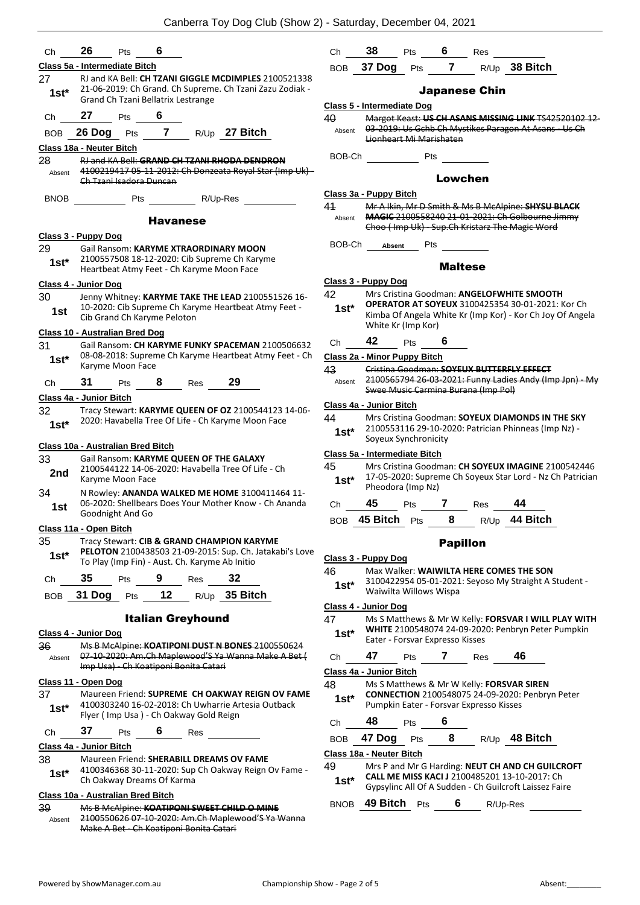|               |                                                                                           |                          |     | Canberra Toy Dog Club (Show 2) - Saturday, December 04, 2021                                                     |                  |                                                 |            |                 |                                         |                                                                                                          |                                                                                                            |
|---------------|-------------------------------------------------------------------------------------------|--------------------------|-----|------------------------------------------------------------------------------------------------------------------|------------------|-------------------------------------------------|------------|-----------------|-----------------------------------------|----------------------------------------------------------------------------------------------------------|------------------------------------------------------------------------------------------------------------|
| Ch            | 26<br>Pts                                                                                 | 6                        |     |                                                                                                                  | Ch               | 38                                              | Pts        | 6               | Res                                     |                                                                                                          |                                                                                                            |
|               | Class 5a - Intermediate Bitch                                                             |                          |     |                                                                                                                  |                  | BOB 37 Dog                                      |            | Pts 7           |                                         | R/Up 38 Bitch                                                                                            |                                                                                                            |
| 27<br>$1st*$  |                                                                                           |                          |     | RJ and KA Bell: CH TZANI GIGGLE MCDIMPLES 2100521338<br>21-06-2019: Ch Grand. Ch Supreme. Ch Tzani Zazu Zodiak - |                  |                                                 |            |                 | <b>Japanese Chin</b>                    |                                                                                                          |                                                                                                            |
|               | Grand Ch Tzani Bellatrix Lestrange                                                        |                          |     |                                                                                                                  |                  | Class 5 - Intermediate Dog                      |            |                 |                                         |                                                                                                          |                                                                                                            |
| Ch            | 27<br>Pts                                                                                 | 6                        |     |                                                                                                                  | 40               |                                                 |            |                 |                                         |                                                                                                          | Margot Keast: US CH ASANS MISSING LINK TS42520102 12-                                                      |
| <b>BOB</b>    | 26 Dog Pts 7 R/Up 27 Bitch                                                                |                          |     |                                                                                                                  | Absent           | Lionheart Mi Marishaten                         |            |                 |                                         | 03-2019: Us Gchb Ch Mystikes Paragon At Asans - Us Ch                                                    |                                                                                                            |
|               | Class 18a - Neuter Bitch                                                                  |                          |     |                                                                                                                  | BOB-Ch           |                                                 |            |                 |                                         |                                                                                                          |                                                                                                            |
| 28            |                                                                                           |                          |     | RJ and KA Bell: GRAND CH TZANI RHODA DENDRON<br>4100219417 05-11-2012: Ch Donzeata Royal Star (Imp Uk) -         |                  | <b>Example 19 Pts</b>                           |            |                 |                                         |                                                                                                          |                                                                                                            |
| Absent        | Ch Tzani Isadora Duncan                                                                   |                          |     |                                                                                                                  |                  |                                                 |            | Lowchen         |                                         |                                                                                                          |                                                                                                            |
| <b>BNOB</b>   | Pts                                                                                       | R/Up-Res                 |     |                                                                                                                  |                  | Class 3a - Puppy Bitch                          |            |                 |                                         |                                                                                                          |                                                                                                            |
|               |                                                                                           |                          |     |                                                                                                                  | 41               |                                                 |            |                 |                                         | Mr A Ikin, Mr D Smith & Ms B McAlpine: SHYSU BLACK                                                       |                                                                                                            |
|               |                                                                                           | <b>Havanese</b>          |     |                                                                                                                  | Absent           |                                                 |            |                 |                                         | MAGIC 2100558240 21-01-2021: Ch Golbourne Jimmy<br>Choo (Imp Uk) - Sup.Ch Kristarz The Magic Word        |                                                                                                            |
|               | Class 3 - Puppy Dog                                                                       |                          |     |                                                                                                                  |                  |                                                 |            |                 |                                         |                                                                                                          |                                                                                                            |
| 29            | Gail Ransom: KARYME XTRAORDINARY MOON                                                     |                          |     |                                                                                                                  | BOB-Ch           | Absent                                          | Pts        |                 |                                         |                                                                                                          |                                                                                                            |
| $1st*$        | 2100557508 18-12-2020: Cib Supreme Ch Karyme<br>Heartbeat Atmy Feet - Ch Karyme Moon Face |                          |     |                                                                                                                  |                  |                                                 |            | <b>Maltese</b>  |                                         |                                                                                                          |                                                                                                            |
|               | Class 4 - Junior Dog                                                                      |                          |     |                                                                                                                  |                  | Class 3 - Puppy Dog                             |            |                 |                                         |                                                                                                          |                                                                                                            |
| 30            |                                                                                           |                          |     | Jenny Whitney: KARYME TAKE THE LEAD 2100551526 16-                                                               | 42               |                                                 |            |                 |                                         | Mrs Cristina Goodman: ANGELOFWHITE SMOOTH<br><b>OPERATOR AT SOYEUX 3100425354 30-01-2021: Kor Ch</b>     |                                                                                                            |
| 1st           | Cib Grand Ch Karyme Peloton                                                               |                          |     | 10-2020: Cib Supreme Ch Karyme Heartbeat Atmy Feet -                                                             | $1st*$           | White Kr (Imp Kor)                              |            |                 |                                         |                                                                                                          | Kimba Of Angela White Kr (Imp Kor) - Kor Ch Joy Of Angela                                                  |
|               | Class 10 - Australian Bred Dog                                                            |                          |     |                                                                                                                  |                  | 42                                              |            | 6               |                                         |                                                                                                          |                                                                                                            |
| 31            |                                                                                           |                          |     | Gail Ransom: CH KARYME FUNKY SPACEMAN 2100506632<br>08-08-2018: Supreme Ch Karyme Heartbeat Atmy Feet - Ch       | Ch               |                                                 | Pts        |                 |                                         |                                                                                                          |                                                                                                            |
| $1st*$        | Karyme Moon Face                                                                          |                          |     |                                                                                                                  | 43               | Class 2a - Minor Puppy Bitch                    |            |                 |                                         | Cristina Goodman: SOYEUX BUTTERFLY EFFECT                                                                |                                                                                                            |
| Ch            | 31<br>Pts                                                                                 | 8                        | Res | 29                                                                                                               | Absent           |                                                 |            |                 |                                         |                                                                                                          | 2100565794 26-03-2021: Funny Ladies Andy (Imp Jpn) - My                                                    |
|               | Class 4a - Junior Bitch                                                                   |                          |     |                                                                                                                  |                  |                                                 |            |                 | Swee Music Carmina Burana (Imp Pol)     |                                                                                                          |                                                                                                            |
| 32<br>$1st^*$ |                                                                                           |                          |     | Tracy Stewart: KARYME QUEEN OF OZ 2100544123 14-06-<br>2020: Havabella Tree Of Life - Ch Karyme Moon Face        | 44<br>$1st^*$    | Class 4a - Junior Bitch<br>Soyeux Synchronicity |            |                 |                                         | Mrs Cristina Goodman: SOYEUX DIAMONDS IN THE SKY<br>2100553116 29-10-2020: Patrician Phinneas (Imp Nz) - |                                                                                                            |
|               | Class 10a - Australian Bred Bitch                                                         |                          |     |                                                                                                                  |                  | Class 5a - Intermediate Bitch                   |            |                 |                                         |                                                                                                          |                                                                                                            |
| 33            | Gail Ransom: KARYME QUEEN OF THE GALAXY                                                   |                          |     | 2100544122 14-06-2020: Havabella Tree Of Life - Ch                                                               | 45               |                                                 |            |                 |                                         |                                                                                                          | Mrs Cristina Goodman: CH SOYEUX IMAGINE 2100542446                                                         |
| 2nd           | Karyme Moon Face                                                                          |                          |     |                                                                                                                  | $1st^*$          | Pheodora (Imp Nz)                               |            |                 |                                         |                                                                                                          | 17-05-2020: Supreme Ch Soyeux Star Lord - Nz Ch Patrician                                                  |
| 34<br>1st     |                                                                                           |                          |     | N Rowley: ANANDA WALKED ME HOME 3100411464 11-<br>06-2020: Shellbears Does Your Mother Know - Ch Ananda          | Ch               |                                                 |            |                 | <b>45</b> Pts 7 Res                     | 44                                                                                                       |                                                                                                            |
|               | Goodnight And Go                                                                          |                          |     |                                                                                                                  |                  | BOB 45 Bitch Pts                                |            | 8               |                                         | R/Up 44 Bitch                                                                                            |                                                                                                            |
|               | Class 11a - Open Bitch                                                                    |                          |     |                                                                                                                  |                  |                                                 |            |                 |                                         |                                                                                                          |                                                                                                            |
| 35<br>$1st*$  | Tracy Stewart: CIB & GRAND CHAMPION KARYME                                                |                          |     | PELOTON 2100438503 21-09-2015: Sup. Ch. Jatakabi's Love                                                          |                  | Class 3 - Puppy Dog                             |            | <b>Papillon</b> |                                         |                                                                                                          |                                                                                                            |
|               | To Play (Imp Fin) - Aust. Ch. Karyme Ab Initio                                            |                          |     |                                                                                                                  | 46               |                                                 |            |                 |                                         | Max Walker: WAIWILTA HERE COMES THE SON                                                                  |                                                                                                            |
| Ch            | 35<br>Pts                                                                                 | 9                        | Res | 32                                                                                                               | $1st*$           |                                                 |            |                 |                                         |                                                                                                          | 3100422954 05-01-2021: Seyoso My Straight A Student -                                                      |
| <b>BOB</b>    | 31 Dog<br>Pts                                                                             | 12                       |     | R/Up 35 Bitch                                                                                                    |                  | Waiwilta Willows Wispa                          |            |                 |                                         |                                                                                                          |                                                                                                            |
|               |                                                                                           | <b>Italian Greyhound</b> |     |                                                                                                                  |                  | Class 4 - Junior Dog                            |            |                 |                                         |                                                                                                          |                                                                                                            |
|               |                                                                                           |                          |     |                                                                                                                  | 47               |                                                 |            |                 |                                         |                                                                                                          | Ms S Matthews & Mr W Kelly: FORSVAR I WILL PLAY WITH<br>WHITE 2100548074 24-09-2020: Penbryn Peter Pumpkin |
| 36            | Class 4 - Junior Dog                                                                      |                          |     | Ms B McAlpine: KOATIPONI DUST N BONES 2100550624                                                                 | $1st*$           | Eater - Forsvar Expresso Kisses                 |            |                 |                                         |                                                                                                          |                                                                                                            |
| Absent        | Imp Usa) - Ch Koatiponi Bonita Catari                                                     |                          |     | 07-10-2020: Am.Ch Maplewood'S Ya Wanna Make A Bet (                                                              | Ch               | 47                                              | Pts        | 7               | Res                                     | 46                                                                                                       |                                                                                                            |
|               |                                                                                           |                          |     |                                                                                                                  |                  | Class 4a - Junior Bitch                         |            |                 |                                         |                                                                                                          |                                                                                                            |
| 37            | Class 11 - Open Dog                                                                       |                          |     | Maureen Friend: SUPREME CH OAKWAY REIGN OV FAME                                                                  | 48<br>$1st^*$    |                                                 |            |                 |                                         | Ms S Matthews & Mr W Kelly: FORSVAR SIREN<br><b>CONNECTION</b> 2100548075 24-09-2020: Penbryn Peter      |                                                                                                            |
| $1st*$        | Flyer (Imp Usa) - Ch Oakway Gold Reign                                                    |                          |     | 4100303240 16-02-2018: Ch Uwharrie Artesia Outback                                                               |                  |                                                 |            |                 | Pumpkin Eater - Forsvar Expresso Kisses |                                                                                                          |                                                                                                            |
| Ch            | 37<br>Pts                                                                                 | 6                        | Res |                                                                                                                  | Ch<br><b>BOB</b> | 48<br>47 Dog                                    | Pts<br>Pts | 6<br>8          |                                         | R/Up 48 Bitch                                                                                            |                                                                                                            |
|               | Class 4a - Junior Bitch                                                                   |                          |     |                                                                                                                  |                  |                                                 |            |                 |                                         |                                                                                                          |                                                                                                            |
| 38            | Maureen Friend: SHERABILL DREAMS OV FAME                                                  |                          |     |                                                                                                                  | 49               | Class 18a - Neuter Bitch                        |            |                 |                                         | Mrs P and Mr G Harding: NEUT CH AND CH GUILCROFT                                                         |                                                                                                            |
| $1st*$        | Ch Oakway Dreams Of Karma                                                                 |                          |     | 4100346368 30-11-2020: Sup Ch Oakway Reign Ov Fame -                                                             | $1st^*$          |                                                 |            |                 |                                         | CALL ME MISS KACI J 2100485201 13-10-2017: Ch<br>Gypsylinc All Of A Sudden - Ch Guilcroft Laissez Faire  |                                                                                                            |
|               | Class 10a - Australian Bred Bitch                                                         |                          |     |                                                                                                                  | <b>BNOB</b>      | 49 Bitch Pts                                    |            | 6               |                                         | R/Up-Res                                                                                                 |                                                                                                            |
| 39            | Ms B McAlpine: KOATIPONI SWEET CHILD O MINE                                               |                          |     |                                                                                                                  |                  |                                                 |            |                 |                                         |                                                                                                          |                                                                                                            |

Absent

2100550626 07-10-2020: Am.Ch Maplewood'S Ya Wanna

Make A Bet - Ch Koatiponi Bonita Catari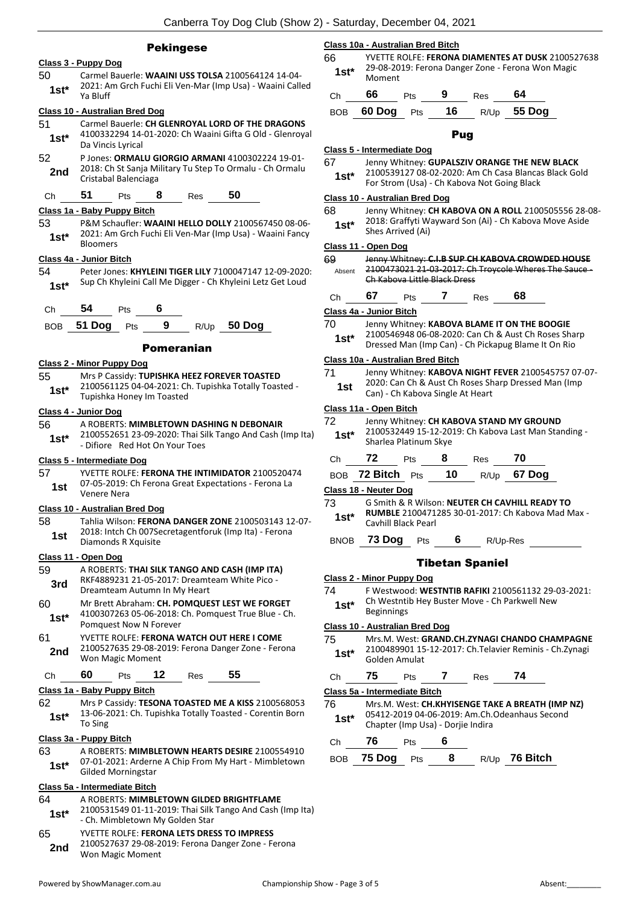#### Pekingese

#### **Class 3 - Puppy Dog**

50 Carmel Bauerle: **WAAINI USS TOLSA** 2100564124 14-04- 2021: Am Grch Fuchi Eli Ven-Mar (Imp Usa) - Waaini Called Ya Bluff **1st\***

#### **Class 10 - Australian Bred Dog**

- 51 Carmel Bauerle: **CH GLENROYAL LORD OF THE DRAGONS** 4100332294 14-01-2020: Ch Waaini Gifta G Old - Glenroyal 1st<sup>\*</sup> <sup>4100332294</sup> 14-<br>Da Vincis Lyrical
- 52 P Jones: **ORMALU GIORGIO ARMANI** 4100302224 19-01- 2018: Ch St Sanja Military Tu Step To Ormalu - Ch Ormalu **2nd** <sup>2018: Ch St Sanja M<br>Cristabal Balenciaga</sup>

#### Ch **51** Pts **8** Res **50**

#### **Class 1a - Baby Puppy Bitch**

53 P&M Schaufler: **WAAINI HELLO DOLLY** 2100567450 08-06- 2021: Am Grch Fuchi Eli Ven-Mar (Imp Usa) - Waaini Fancy 1st<sup>\*</sup> <sup>2021: Am</sup><br>Bloomers

#### **Class 4a - Junior Bitch**

54 Peter Jones: **KHYLEINI TIGER LILY** 7100047147 12-09-2020: Sup Ch Khyleini Call Me Digger - Ch Khyleini Letz Get Loud **1st\***



#### Pomeranian

#### **Class 2 - Minor Puppy Dog**

- 55 Mrs P Cassidy: **TUPISHKA HEEZ FOREVER TOASTED** 2100561125 04-04-2021: Ch. Tupishka Totally Toasted -
- 1st\* <sup>2100561125</sup> 04-04-2021: Cr<br>Tupishka Honey Im Toasted

#### **Class 4 - Junior Dog**

56 A ROBERTS: **MIMBLETOWN DASHING N DEBONAIR** 2100552651 23-09-2020: Thai Silk Tango And Cash (Imp Ita) 1st\* 2100552651 23-09-2020: Thai Si<br>Difiore Red Hot On Your Toes

#### **Class 5 - Intermediate Dog**

57 YVETTE ROLFE: **FERONA THE INTIMIDATOR** 2100520474 07-05-2019: Ch Ferona Great Expectations - Ferona La Venere Nera **1st**

#### **Class 10 - Australian Bred Dog**

58 Tahlia Wilson: **FERONA DANGER ZONE** 2100503143 12-07- 2018: Intch Ch 007Secretagentforuk (Imp Ita) - Ferona **1st** <sup>2018:</sup> Inten Ch 0075e<br>Diamonds R Xquisite

#### **Class 11 - Open Dog**

- 59 A ROBERTS: **THAI SILK TANGO AND CASH (IMP ITA)** RKF4889231 21-05-2017: Dreamteam White Pico - **3rd** KKF4889231 21-05-2017: Dreamt<br>Dreamteam Autumn In My Heart
- 60 Mr Brett Abraham: **CH. POMQUEST LEST WE FORGET** 4100307263 05-06-2018: Ch. Pomquest True Blue - Ch. Pomquest Now N Forever **1st\***
- 61 YVETTE ROLFE: **FERONA WATCH OUT HERE I COME** 2100527635 29-08-2019: Ferona Danger Zone - Ferona Won Magic Moment **2nd**

### Ch **60** Pts **12** Res **55**

#### **Class 1a - Baby Puppy Bitch**

- 62 Mrs P Cassidy: **TESONA TOASTED ME A KISS** 2100568053 13-06-2021: Ch. Tupishka Totally Toasted - Corentin Born 1st\* <sup>13-00-2</sup><br>To Sing
- **Class 3a - Puppy Bitch**

# 63 A ROBERTS: **MIMBLETOWN HEARTS DESIRE** 2100554910

07-01-2021: Arderne A Chip From My Hart - Mimbletown Gilded Morningstar **1st\***

#### **Class 5a - Intermediate Bitch**

64 A ROBERTS: **MIMBLETOWN GILDED BRIGHTFLAME** 2100531549 01-11-2019: Thai Silk Tango And Cash (Imp Ita) - Ch. Mimbletown My Golden Star **1st\*** 65 YVETTE ROLFE: **FERONA LETS DRESS TO IMPRESS** 2100527637 29-08-2019: Ferona Danger Zone - Ferona Won Magic Moment **2nd**

#### **Class 10a - Australian Bred Bitch**

66 YVETTE ROLFE: **FERONA DIAMENTES AT DUSK** 2100527638 29-08-2019: Ferona Danger Zone - Ferona Won Magic 1st<sup>\*</sup> <sup>29-06-20</sup><br>Moment

| Ch 66 Pts 9 |  | Res . | -64                             |
|-------------|--|-------|---------------------------------|
|             |  |       | BOB 60 Dog Pts $16$ R/Up 55 Dog |

#### Pug

#### **Class 5 - Intermediate Dog**

67 Jenny Whitney: **GUPALSZIV ORANGE THE NEW BLACK**

2100539127 08-02-2020: Am Ch Casa Blancas Black Gold For Strom (Usa) - Ch Kabova Not Going Black **1st\***

#### **Class 10 - Australian Bred Dog**

68 Jenny Whitney: **CH KABOVA ON A ROLL** 2100505556 28-08- 2018: Graffyti Wayward Son (Ai) - Ch Kabova Move Aside **1st**\* <sup>2018</sup>: Graffyll W

#### **Class 11 - Open Dog**

| 69     | Jenny Whitney: C.I.B SUP CH KABOVA CROWDED HOUSE     |
|--------|------------------------------------------------------|
| Ahsent | 2100473021 21-03-2017: Ch Troycole Wheres The Sauce- |
|        | Ch Kabova Little Black Dress                         |

- Ch **67** Pts **7** Res **68 Class 4a - Junior Bitch** 70 Jenny Whitney: **KABOVA BLAME IT ON THE BOOGIE**
- 2100546948 06-08-2020: Can Ch & Aust Ch Roses Sharp Dressed Man (Imp Can) - Ch Pickapug Blame It On Rio **1st\***

#### **Class 10a - Australian Bred Bitch**

- 71 Jenny Whitney: **KABOVA NIGHT FEVER** 2100545757 07-07- 2020: Can Ch & Aust Ch Roses Sharp Dressed Man (Imp
- **1st 2020**: Call Cit & Aust Cit Roses 31<br>Can) Ch Kabova Single At Heart

#### **Class 11a - Open Bitch**

| 72<br>$1st*$                                        | Jenny Whitney: CH KABOVA STAND MY GROUND<br>2100532449 15-12-2019: Ch Kabova Last Man Standing -<br>Sharlea Platinum Skye         |     |   |            |      |  |  |  |
|-----------------------------------------------------|-----------------------------------------------------------------------------------------------------------------------------------|-----|---|------------|------|--|--|--|
| Ch                                                  | $72$ Pts                                                                                                                          |     | 8 | <b>Res</b> | - 70 |  |  |  |
| <b>BOB</b>                                          | <b>72 Bitch</b> Pts $\blacksquare$ <b>10</b> R/Up <b>67 Dog</b>                                                                   |     |   |            |      |  |  |  |
| Class 18 - Neuter Dog                               |                                                                                                                                   |     |   |            |      |  |  |  |
| 73.<br>$1st*$                                       | G Smith & R Wilson: NEUTER CH CAVHILL READY TO<br><b>RUMBLE 2100471285 30-01-2017: Ch Kabova Mad Max -</b><br>Cavhill Black Pearl |     |   |            |      |  |  |  |
| <b>BNOB</b>                                         | 73 Dog                                                                                                                            | Pts | 6 | R/Up-Res   |      |  |  |  |
| <b>Tibetan Spaniel</b><br>Class 2 - Minor Puppy Dog |                                                                                                                                   |     |   |            |      |  |  |  |
|                                                     |                                                                                                                                   |     |   |            |      |  |  |  |

- 74 F Westwood: **WESTNTIB RAFIKI** 2100561132 29-03-2021: Ch Westntib Hey Buster Move - Ch Parkwell New
- **1st\*** Ch Westnti<br>Beginnings

#### **Class 10 - Australian Bred Dog**

75 Mrs.M. West: **GRAND.CH.ZYNAGI CHANDO CHAMPAGNE** 2100489901 15-12-2017: Ch.Telavier Reminis - Ch.Zynagi Golden Amulat **1st\***

## Ch **75** Pts **7** Res **74**

#### **Class 5a - Intermediate Bitch**

76 Mrs.M. West: **CH.KHYISENGE TAKE A BREATH (IMP NZ)** 05412-2019 04-06-2019: Am.Ch.Odeanhaus Second **1st\*** 05412-2019 04-06-2019: Am.Ch.<br>Chapter (Imp Usa) - Dorjie Indira

Ch **76** Pts **6**

BOB **75 Dog** Pts **8** R/Up **76 Bitch**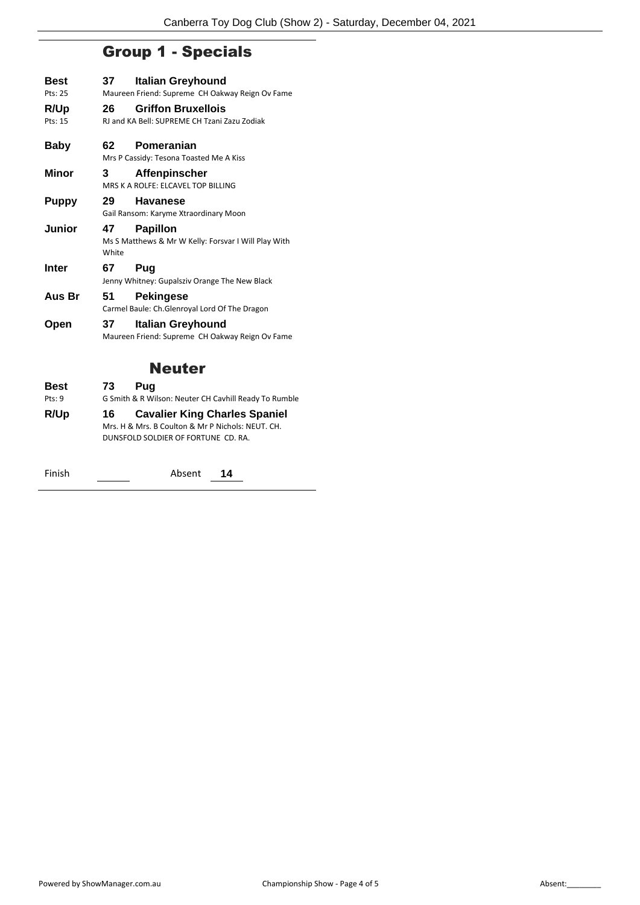# Group 1 - Specials

| <b>Best</b>  | 37.         | <b>Italian Greyhound</b>                                                    |
|--------------|-------------|-----------------------------------------------------------------------------|
| Pts: 25      |             | Maureen Friend: Supreme CH Oakway Reign Ov Fame                             |
| R/Up         | 26          | <b>Griffon Bruxellois</b>                                                   |
| Pts: 15      |             | RJ and KA Bell: SUPREME CH Tzani Zazu Zodiak                                |
| <b>Baby</b>  | 62.         | Pomeranian<br>Mrs P Cassidy: Tesona Toasted Me A Kiss                       |
| <b>Minor</b> | 3           | <b>Affenpinscher</b><br>MRS K A ROLFE: ELCAVEL TOP BILLING                  |
| <b>Puppy</b> | 29          | <b>Havanese</b><br>Gail Ransom: Karyme Xtraordinary Moon                    |
| Junior       | 47<br>White | <b>Papillon</b><br>Ms S Matthews & Mr W Kelly: Forsvar I Will Play With     |
| <b>Inter</b> | 67          | Pug<br>Jenny Whitney: Gupalsziv Orange The New Black                        |
| Aus Br       | 51          | <b>Pekingese</b><br>Carmel Baule: Ch.Glenroyal Lord Of The Dragon           |
| Open         | 37.         | <b>Italian Greyhound</b><br>Maureen Friend: Supreme CH Oakway Reign Ov Fame |
|              |             | Neuter                                                                      |
| <b>Best</b>  | 73          | Pug                                                                         |
| Pts:9        |             | G Smith & R Wilson: Neuter CH Cavhill Ready To Rumble                       |

**R/Up 16 Cavalier King Charles Spaniel** Mrs. H & Mrs. B Coulton & Mr P Nichols: NEUT. CH. DUNSFOLD SOLDIER OF FORTUNE CD. RA.

Finish <u>Consumer Constanting Absent</u> 14